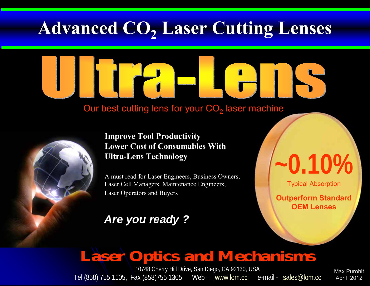### **Advanced CO2 Laser Cutting Lenses**

#### Our best cutting lens for your CO $_2$  laser machine



#### **Improve Tool Productivity Lower Cost of Consumables With Ultra-Lens Technology**

A must read for Laser Engineers, Business Owners, Laser Cell Managers, Maintenance Engineers, Laser Operators and Buyers

### *Are you ready ?*

# **~0.10%**

Typical Absorption

**Outperform Standard OEM Lenses**

### **Laser Optics and Mechanisms**

10748 Cherry Hill Drive, San Diego, CA 92130, USA Tel (858) 755 1105, Fax (858)755 1305 Web – www.lom.cc e-mail - sales@lom.cc

Max PurohitApril 2012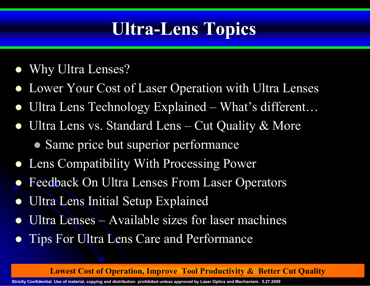### **Ultra-Lens Topics**

- $\bullet$ Why Ultra Lenses?
- $\bullet$ Lower Your Cost of Laser Operation with Ultra Lenses
- $\bullet$ Ultra Lens Technology Explained – What's different…
- $\bullet$  Ultra Lens vs. Standard Lens – Cut Quality & More
	- Same price but superior performance
- Lens Compatibility With Processing Power
- $\bullet$ Feedback On Ultra Lenses From Laser Operators
- $\bullet$ Ultra Lens Initial Setup Explained
- $\bullet$ Ultra Lenses – Available sizes for laser machines
- $\bullet$ Tips For Ultra Lens Care and Performance

**Lowest Cost of Operation, Improve Tool Productivity & Better Cut Quality** 

**~0.10%**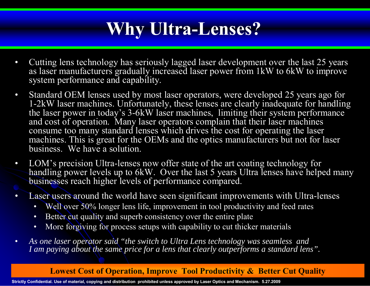### **Why Ultra-Lenses?**

- • Cutting lens technology has seriously lagged laser development over the last 25 years as laser manufacturers gradually increased laser power from 1kW to 6kW to improve system performance and capability.
- $\bullet$  Standard OEM lenses used by most laser operators, were developed 25 years ago for 1-2kW laser machines. Unfortunately, these lenses are clearly inadequate for handling the laser power in today's 3-6kW laser machines, limiting their system performance and cost of operation. Many laser operators complain that their laser machines consume too many standard lenses which drives the cost for operating the laser machines. This is great for the OEMs and the optics manufacturers but not for laser business. We have a solution.
- • LOM's precision Ultra-lenses now offer state of the art coating technology for handling power levels up to 6kW. Over the last 5 years Ultra lenses have helped many businesses reach higher levels of performance compared.
- • Laser users around the world have seen significant improvements with Ultra-lenses
	- Well over 50% longer lens life, improvement in tool productivity and feed rates
	- Better cut quality and superb consistency over the entire plate
	- More forgiving for process setups with capability to cut thicker materials
- • *As one laser operator said "the switch to Ultra Lens technology was seamless and I am paying about the same price for a lens that clearly outperforms a standard lens".*

#### **Lowest Cost of Operation, Improve Tool Productivity & Better Cut Quality**

**~0.10%**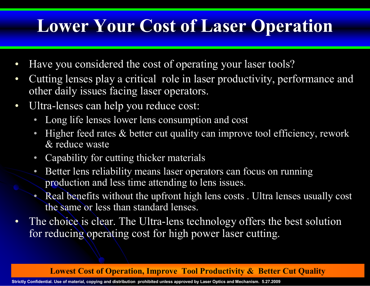### **Lower Your Cost of Laser Operation**

- $\bullet$ Have you considered the cost of operating your laser tools?
- $\bullet$  Cutting lenses play a critical role in laser productivity, performance and other daily issues facing laser operators.
- $\bullet$  Ultra-lenses can help you reduce cost:
	- Long life lenses lower lens consumption and cost
	- •Higher feed rates & better cut quality can improve tool efficiency, rework  $\&$  reduce waste
	- Capability for cutting thicker materials
	- • Better lens reliability means laser operators can focus on running production and less time attending to lens issues.
	- Real benefits without the upfront high lens costs . Ultra lenses usually cost the same or less than standard lenses.
- $\bullet$  The choice is clear. The Ultra-lens technology offers the best solution for reducing operating cost for high power laser cutting.

**Lowest Cost of Operation, Improve Tool Productivity & Better Cut Quality**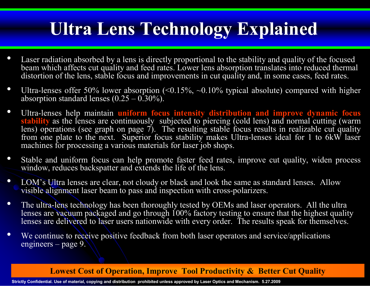### **Ultra Lens Technology Explained**

- • Laser radiation absorbed by a lens is directly proportional to the stability and quality of the focused beam which affects cut quality and feed rates. Lower lens absorption translates into reduced thermal distortion of the lens, stable focus and improvements in cut quality and, in some cases, feed rates.
- $\bullet$ Ultra-lenses offer 50% lower absorption  $\sqrt{(0.15\%, -0.10\%)}$  typical absolute) compared with higher absorption standard lenses  $(0.25 - 0.30\%)$ .
- $\bullet$  Ultra-lenses help maintain **uniform focus intensity distribution and improve dynamic focus stability** as the lenses are continuously subjected to piercing (cold lens) and normal cutting (warm lens) operations (see graph on page 7). The resulting stable focus results in realizable cut quality from one plate to the next. Superior focus stability makes Ultra-lenses ideal for 1 to 6kW laser machines for processing a various materials for laser job shops.
- $\bullet$  Stable and uniform focus can help promote faster feed rates, improve cut quality, widen process window, reduces backspatter and extends the life of the lens.
- $\bullet$  LOM's Ultra lenses are clear, not cloudy or black and look the same as standard lenses. Allow visible alignment laser beam to pass and inspection with cross-polarizers.
- • The ultra-lens technology has been thoroughly tested by OEMs and laser operators. All the ultra lenses are vacuum packaged and go through 100% factory testing to ensure that the highest quality lenses are delivered to laser users nationwide with every order. The results speak for themselves.
- $\bullet$ We continue to receive positive feedback from both laser operators and service/applications engineers – page 9.

**Lowest Cost of Operation, Improve Tool Productivity & Better Cut Quality** 

**~0.10%**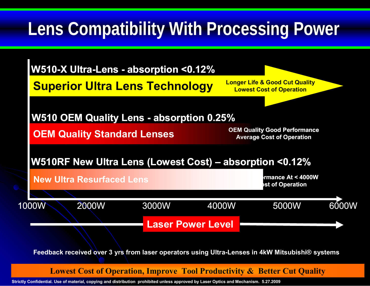## **Lens Compatibility With Processing Power**



**Ultra-LensFeedback received over 3 yrs from laser operators using Ultra-Lenses in 4kW Mitsubishi® systems**

**Lowest Cost of Operation, Improve Tool Productivity & Better Cut Quality** 

**~0.10%**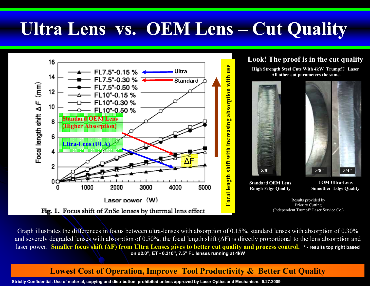## **Ultra Lens vs. OEM Lens – Cut Quality**



Graph illustrates the differences in focus between ultra-lenses with absorption of 0.15%, standard lenses with absorption of 0.30% and severely degraded lenses with absorption of 0.50%; the focal length shift ( ΔF) is directly proportional to the lens absorption and laser power. **Smaller focus shift ( ΔF) from Ultra Lenses gives to better cut quality and process control. \* - results top right based on ø2.0", ET - 0.310", 7.5" FL lenses running at 4kW**

#### **Lowest Cost of Operation, Improve Tool Productivity & Better Cut Quality**

**~0.10%**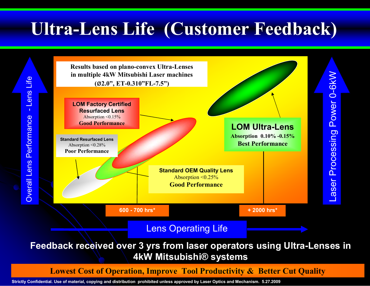### **Ultra-Lens Life (Customer Feedback)**



**~0.10%Feedback received over 3 yrs from laser operators using Ultra-Lenses in 4kW Mitsubishi® systems**

**Lowest Cost of Operation, Improve Tool Productivity & Better Cut Quality**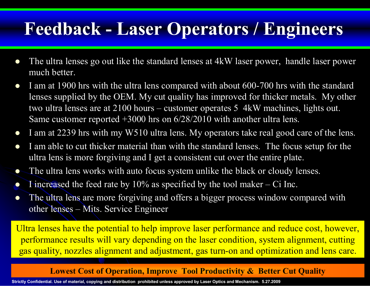### **Feedback - Laser Operators / Engineers**

- $\bullet$  The ultra lenses go out like the standard lenses at 4kW laser power, handle laser power much better.
- $\bullet$  I am at 1900 hrs with the ultra lens compared with about 600-700 hrs with the standard lenses supplied by the OEM. My cut quality has improved for thicker metals. My other two ultra lenses are at 2100 hours – customer operates 5 4kW machines, lights out. Same customer reported +3000 hrs on 6/28/2010 with another ultra lens.
- $\bullet$ I am at 2239 hrs with my W510 ultra lens. My operators take real good care of the lens.
- $\bullet$  I am able to cut thicker material than with the standard lenses. The focus setup for the ultra lens is more forgiving and I get a consistent cut over the entire plate.
- $\bullet$ The ultra lens works with auto focus system unlike the black or cloudy lenses.
- $\bullet$ I increased the feed rate by  $10\%$  as specified by the tool maker – Ci Inc.
- $\bullet$  The ultra lens are more forgiving and offers a bigger process window compared with other lenses – Mits. Service Engineer

**Ultra-Lens**gas quality, nozzles alignment and adjustment, gas turn-on and optimization and lens care. Ultra lenses have the potential to help improve laser performance and reduce cost, however, performance results will vary depending on the laser condition, system alignment, cutting

#### **Lowest Cost of Operation, Improve Tool Productivity & Better Cut Quality**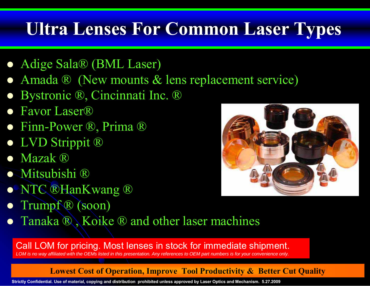## **Ultra Lenses For Common Laser Types**

- Adige Sala® (BML Laser)
- $\bullet$ Amada ® (New mounts & lens replacement service)
- $\bullet$ Bystronic ®, Cincinnati Inc. ®
- $\bullet$ ● Favor Laser®
- Finn-Power ®, Prima ®
- LVD Strippit ®
- $\bullet$ Mazak ®
- Mitsubishi ®
- NTC ®HanKwang ®
- $\bullet$ Trumpf ® (soon)
- Tanaka ®, Koike ® and other laser machines

Call LOM for pricing. Most lenses in stock for immediate shipment. *LOM is no way affiliated with the OEMs listed in this presentation. Any references to OEM part numbers is for your convenience only.*

#### **Lowest Cost of Operation, Improve Tool Productivity & Better Cut Quality**

**Strictly Confidential. Use of material, copying and distribution prohibited unless approved by Laser Optics and Mechanism. 5.27.2009**

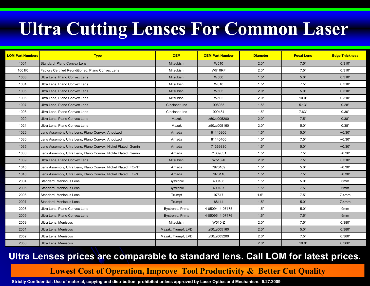## **Ultra Cutting Lenses For Common Laser**

| <b>LOM Part Numbers</b> | <b>Type</b>                                                    | <b>OEM</b>         | <b>OEM Part Number</b> | <b>Diameter</b> | <b>Focal Lens</b> | <b>Edge Thickness</b> |
|-------------------------|----------------------------------------------------------------|--------------------|------------------------|-----------------|-------------------|-----------------------|
| 1001                    | Standard, Plano Convex Lens                                    | Mitsubishi         | W510                   | 2.0"            | 7.5"              | 0.310"                |
| 1001R                   | Factory Certified Reonditioned, Plano Convex Lens              | Mitsubishi         | <b>W510RF</b>          | 2.0"            | 7.5"              | 0.310"                |
| 1003                    | Ultra Lens, Plano Convex Lens                                  | Mitsubishi         | <b>W500</b>            | 1.5"            | 5.0"              | 0.310"                |
| 1004                    | Ultra Lens, Plano Convex Lens                                  | Mitsubishi         | W018                   | 1.5"            | 7.5"              | 0.310"                |
| 1005                    | Ultra Lens, Plano Convex Lens                                  | Mitsubishi         | W505                   | 2.0"            | 5.0"              | 0.310"                |
| 1006                    | Ultra Lens, Plano Convex Lens                                  | Mitsubishi         | W502                   | 2.0"            | 10.0"             | 0.310"                |
| 1007                    | Ultra Lens, Plano Convex Lens                                  | Cincinnati Inc     | 908085                 | 1.5"            | 5.13"             | 0.28"                 |
| 1008                    | Ultra Lens, Plano Convex Lens                                  | Cincinnati Inc     | 909484                 | 1.5"            | 7.63"             | 0.30"                 |
| 1020                    | Ultra Lens, Plano Convex Lens                                  | Mazak              | z50zz005200            | 2.0"            | 7.5"              | 0.38"                 |
| 1021                    | Ultra Lens, Plano Convex Lens                                  | Mazak              | z50zz005160            | 2.0"            | 5.0"              | 0.38"                 |
| 1026                    | Lens Assembly, Ultra Lens, Plano Convex, Anodized              | Amada              | 81140306               | 1.5"            | 5.0"              | $-0.30"$              |
| 1030                    | Lens Assembly, Ultra Lens, Plano Convex, Anodized              | Amada              | 81140400               | 1.5"            | 7.5"              | $-0.30"$              |
| 1035                    | Lens Assembly, Ultra Lens, Plano Convex, Nickel Plated, Gemini | Amada              | 71369830               | 1.5"            | 5.0"              | $-0.30"$              |
| 1036                    | Lens Assembly, Ultra Lens, Plano Convex, Nickle Plated, Gemini | Amada              | 71369831               | 1.5"            | 7.5"              | $-0.30"$              |
| 1039                    | Ultra Lens, Plano Convex Lens                                  | Mitsubishi         | W510-X                 | 2.0"            | 7.5"              | 0.310"                |
| 1045                    | Lens Assembly, Ultra Lens, Plano Convex, Nickel Plated, FO-NT  | Amada              | 7973109                | 1.5"            | 5.0"              | $-0.30"$              |
| 1046                    | Lens Assembly, Ultra Lens, Plano Convex, Nickel Plated, FO-NT  | Amada              | 7973110                | 1.5"            | 7.5"              | $-0.30"$              |
| 2004                    | Standard, Meniscus Lens                                        | <b>Bystronic</b>   | 400186                 | 1.5"            | 5.0"              | 6 <sub>mm</sub>       |
| 2005                    | Standard, Meniscus Lens                                        | <b>Bystronic</b>   | 400187                 | 1.5"            | 7.5"              | 6mm                   |
| 2006                    | Standard, Meniscus Lens                                        | Trumpf             | 97517                  | 1.5"            | 7.5"              | $7.4$ mm              |
| 2007                    | Standard, Meniscus Lens                                        | Trumpf             | 88114                  | 1.5"            | 5.0"              | 7.4mm                 |
| 2008                    | Ultra Lens, Plano Convex Lens                                  | Bystronic, Prima   | 4-05094, 4-07475       | 1.5"            | $5.0"$            | 9mm                   |
| 2009                    | Ultra Lens. Plano Convex Lens                                  | Bystronic, Prima   | 4-05095, 4-07476       | 1.5"            | 7.5"              | 9 <sub>mm</sub>       |
| 2059                    | Ultra Lens, Meniscus                                           | Mitsubishi         | W510-Z                 | 2.0"            | 7.5"              | 0.380"                |
| 2051                    | Ultra Lens, Meniscus                                           | Mazak, Trumpf, LVD | z50zz005160            | 2.0"            | 5.0"              | 0.380"                |
| 2052                    | Ultra Lens, Meniscus                                           | Mazak, Trumpf, LVD | z50zz005200            | 2.0"            | 7.5"              | 0.380"                |
| 2053                    | <b>Ultra Lens, Meniscus</b>                                    |                    |                        | 2.0"            | 10.0"             | 0.380"                |

#### **Ultra-Lens Ultra Lenses prices are comparable to standard lens. Call LOM for latest prices. ~0.10%**

#### **Lowest Cost of Operation, Improve Tool Productivity & Better Cut Quality**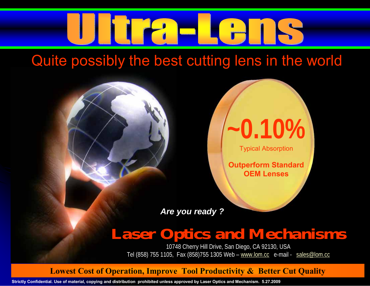

Quite possibly the best cutting lens in the world



Typical Absorption

**Outperform Standard OEM Lenses**

**~0.10%**

*Are you ready ?*

### **Laser Optics and Mechanisms**

10748 Cherry Hill Drive, San Diego, CA 92130, USA Tel (858) 755 1105, Fax (858)755 1305 Web – www.lom.cc e-mail - sales@lom.cc

**Lowest Cost of Operation, Improve Tool Productivity & Better Cut Quality**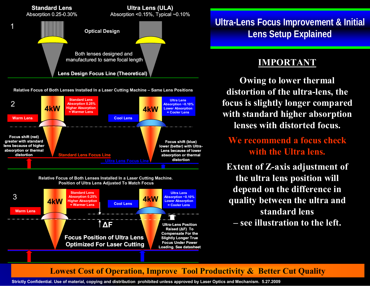

**Relative Focus of Both Lenses Installed In a Laser Cutting Machine – Same Lens Positions**



**Relative Focus of Both Lenses Installed In a Laser Cutting Machine. Position of Ultra Lens Adjusted To Match Focus**



**Ultra-Lens Focus Improvement & Initial Lens Setup Explained**

#### **IMPORTANT**

**Owing to lower thermal distortion of the ultra-lens, the focus is slightly longer compared with standard higher absorption lenses with distorted focus.**

**We recommend a focus check with the Ultra lens.**

**Extent of Z-axis adjustment of the ultra lens position will depend on the difference in quality between the ultra and standard lens** 

**– see illustration to the left.**

**~0.10%**

#### **Lowest Cost of Operation, Improve Tool Productivity & Better Cut Quality**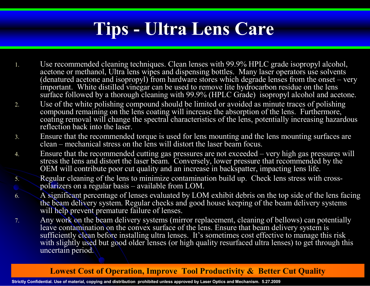## **Tips - Ultra Lens Care**

- 1. Use recommended cleaning techniques. Clean lenses with 99.9% HPLC grade isopropyl alcohol, acetone or methanol, Ultra lens wipes and dispensing bottles. Many laser operators use solvents (denatured acetone and isopropyl) from hardware stores which degrade lenses from the onset – very important. White distilled vinegar can be used to remove lite hydrocarbon residue on the lens surface followed by a thorough cleaning with 99.9% (HPLC Grade) isopropyl alcohol and acetone.
- 2. Use of the white polishing compound should be limited or avoided as minute traces of polishing compound remaining on the lens coating will increase the absorption of the lens. Furthermore, coating removal will change the spectral characteristics of the lens, potentially increasing hazardous reflection back into the laser.
- 3. Ensure that the recommended torque is used for lens mounting and the lens mounting surfaces are clean – mechanical stress on the lens will distort the laser beam focus.
- 4. Ensure that the recommended cutting gas pressures are not exceeded – very high gas pressures will stress the lens and distort the laser beam. Conversely, lower pressure that recommended by the OEM will contribute poor cut quality and an increase in backspatter, impacting lens life.
- 5.Regular cleaning of the lens to minimize contamination build up. Check lens stress with crosspolarizers on a regular basis – available from LOM.
- 6. A significant percentage of lenses evaluated by LOM exhibit debris on the top side of the lens facing the beam delivery system. Regular checks and good house keeping of the beam delivery systems will help prevent premature failure of lenses.
- 7. Any work on the beam delivery systems (mirror replacement, cleaning of bellows) can potentially leave contamination on the convex surface of the lens. Ensure that beam delivery system is sufficiently clean before installing ultra lenses. It's sometimes cost effective to manage this risk with slightly used but good older lenses (or high quality resurfaced ultra lenses) to get through this uncertain period.

#### **Lowest Cost of Operation, Improve Tool Productivity & Better Cut Quality**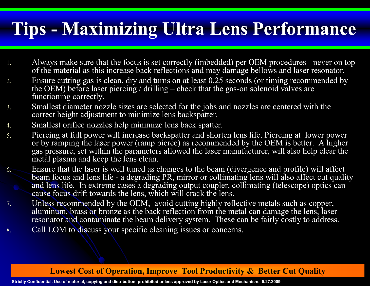### **Tips - Maximizing Ultra Lens Performance**

- 1. Always make sure that the focus is set correctly (imbedded) per OEM procedures - never on top of the material as this increase back reflections and may damage bellows and laser resonator.
- 2. Ensure cutting gas is clean, dry and turns on at least 0.25 seconds (or timing recommended by the OEM) before laser piercing / drilling – check that the gas-on solenoid valves are functioning correctly.
- 3. Smallest diameter nozzle sizes are selected for the jobs and nozzles are centered with the correct height adjustment to minimize lens backspatter.
- 4.Smallest orifice nozzles help minimize lens back spatter.
- 5. Piercing at full power will increase backspatter and shorten lens life. Piercing at lower power or by ramping the laser power (ramp pierce) as recommended by the OEM is better. A higher gas pressure, set within the parameters allowed the laser manufacturer, will also help clear the metal plasma and keep the lens clean.
- 6. Ensure that the laser is well tuned as changes to the beam (divergence and profile) will affect beam focus and lens life - a degrading PR, mirror or collimating lens will also affect cut quality and lens life. In extreme cases a degrading output coupler, collimating (telescope) optics can cause focus drift towards the lens, which will crack the lens.
- 7. Unless recommended by the OEM, avoid cutting highly reflective metals such as copper, aluminum, brass or bronze as the back reflection from the metal can damage the lens, laser resonator and contaminate the beam delivery system. These can be fairly costly to address.
- 8.Call LOM to discuss your specific cleaning issues or concerns.

#### **Lowest Cost of Operation, Improve Tool Productivity & Better Cut Quality**

**~0.10%**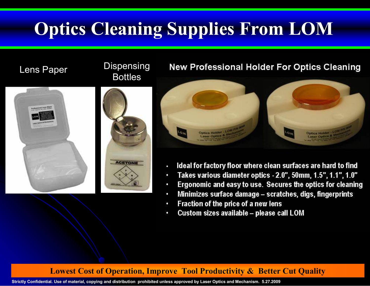## **Optics Cleaning Supplies From LOM**



### Lens Paper Dispensing<br>Bottles



#### **New Professional Holder For Optics Cleaning**



- Ideal for factory floor where clean surfaces are hard to find
- Takes various diameter optics 2.0", 50mm, 1.5", 1.1", 1.0"
- Ergonomic and easy to use. Secures the optics for cleaning

**~0.10%**

- Minimizes surface damage scratches, digs, fingerprints ٠
- Fraction of the price of a new lens
- Custom sizes available please call LOM

#### **Lowest Cost of Operation, Improve Tool Productivity & Better Cut Quality**